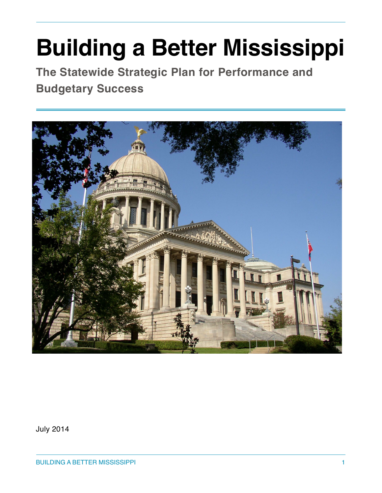# **Building a Better Mississippi**

**The Statewide Strategic Plan for Performance and Budgetary Success**



July 2014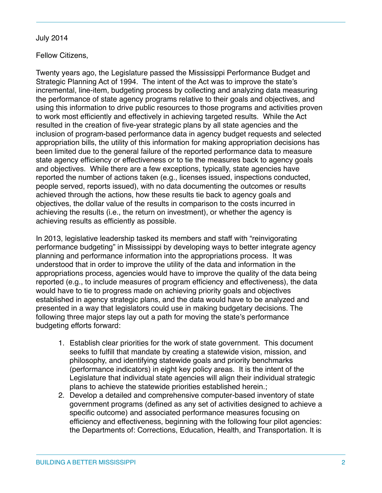#### July 2014

# Fellow Citizens,

Twenty years ago, the Legislature passed the Mississippi Performance Budget and Strategic Planning Act of 1994. The intent of the Act was to improve the state's incremental, line-item, budgeting process by collecting and analyzing data measuring the performance of state agency programs relative to their goals and objectives, and using this information to drive public resources to those programs and activities proven to work most efficiently and effectively in achieving targeted results. While the Act resulted in the creation of five-year strategic plans by all state agencies and the inclusion of program-based performance data in agency budget requests and selected appropriation bills, the utility of this information for making appropriation decisions has been limited due to the general failure of the reported performance data to measure state agency efficiency or effectiveness or to tie the measures back to agency goals and objectives. While there are a few exceptions, typically, state agencies have reported the number of actions taken (e.g., licenses issued, inspections conducted, people served, reports issued), with no data documenting the outcomes or results achieved through the actions, how these results tie back to agency goals and objectives, the dollar value of the results in comparison to the costs incurred in achieving the results (i.e., the return on investment), or whether the agency is achieving results as efficiently as possible.

In 2013, legislative leadership tasked its members and staff with "reinvigorating performance budgeting" in Mississippi by developing ways to better integrate agency planning and performance information into the appropriations process. It was understood that in order to improve the utility of the data and information in the appropriations process, agencies would have to improve the quality of the data being reported (e.g., to include measures of program efficiency and effectiveness), the data would have to tie to progress made on achieving priority goals and objectives established in agency strategic plans, and the data would have to be analyzed and presented in a way that legislators could use in making budgetary decisions. The following three major steps lay out a path for moving the state's performance budgeting efforts forward:

- 1. Establish clear priorities for the work of state government. This document seeks to fulfill that mandate by creating a statewide vision, mission, and philosophy, and identifying statewide goals and priority benchmarks (performance indicators) in eight key policy areas. It is the intent of the Legislature that individual state agencies will align their individual strategic plans to achieve the statewide priorities established herein.;
- 2. Develop a detailed and comprehensive computer-based inventory of state government programs (defined as any set of activities designed to achieve a specific outcome) and associated performance measures focusing on efficiency and effectiveness, beginning with the following four pilot agencies: the Departments of: Corrections, Education, Health, and Transportation. It is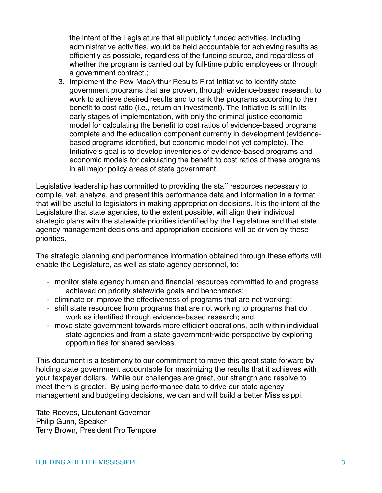the intent of the Legislature that all publicly funded activities, including administrative activities, would be held accountable for achieving results as efficiently as possible, regardless of the funding source, and regardless of whether the program is carried out by full-time public employees or through a government contract.;

3. Implement the Pew-MacArthur Results First Initiative to identify state government programs that are proven, through evidence-based research, to work to achieve desired results and to rank the programs according to their benefit to cost ratio (i.e., return on investment). The Initiative is still in its early stages of implementation, with only the criminal justice economic model for calculating the benefit to cost ratios of evidence-based programs complete and the education component currently in development (evidencebased programs identified, but economic model not yet complete). The Initiative's goal is to develop inventories of evidence-based programs and economic models for calculating the benefit to cost ratios of these programs in all major policy areas of state government.

Legislative leadership has committed to providing the staff resources necessary to compile, vet, analyze, and present this performance data and information in a format that will be useful to legislators in making appropriation decisions. It is the intent of the Legislature that state agencies, to the extent possible, will align their individual strategic plans with the statewide priorities identified by the Legislature and that state agency management decisions and appropriation decisions will be driven by these priorities.

The strategic planning and performance information obtained through these efforts will enable the Legislature, as well as state agency personnel, to:

- monitor state agency human and financial resources committed to and progress achieved on priority statewide goals and benchmarks;
- eliminate or improve the effectiveness of programs that are not working;
- shift state resources from programs that are not working to programs that do work as identified through evidence-based research; and,
- move state government towards more efficient operations, both within individual state agencies and from a state government-wide perspective by exploring opportunities for shared services.

This document is a testimony to our commitment to move this great state forward by holding state government accountable for maximizing the results that it achieves with your taxpayer dollars. While our challenges are great, our strength and resolve to meet them is greater. By using performance data to drive our state agency management and budgeting decisions, we can and will build a better Mississippi.

Tate Reeves, Lieutenant Governor Philip Gunn, Speaker Terry Brown, President Pro Tempore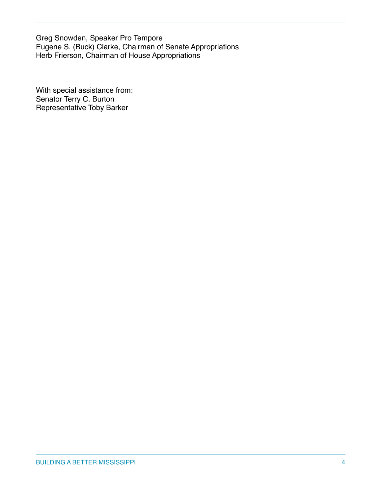Greg Snowden, Speaker Pro Tempore Eugene S. (Buck) Clarke, Chairman of Senate Appropriations Herb Frierson, Chairman of House Appropriations

With special assistance from: Senator Terry C. Burton Representative Toby Barker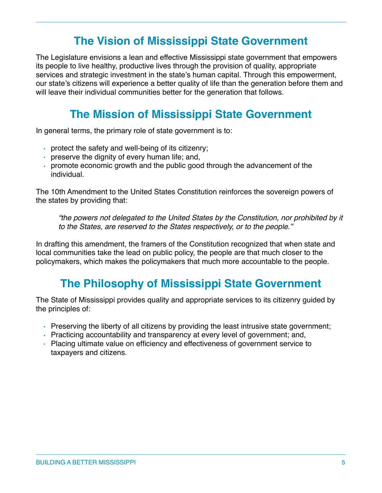# **The Vision of Mississippi State Government**

The Legislature envisions a lean and effective Mississippi state government that empowers its people to live healthy, productive lives through the provision of quality, appropriate services and strategic investment in the state's human capital. Through this empowerment, our state's citizens will experience a better quality of life than the generation before them and will leave their individual communities better for the generation that follows.

# **The Mission of Mississippi State Government**

In general terms, the primary role of state government is to:

- protect the safety and well-being of its citizenry;
- preserve the dignity of every human life; and,
- promote economic growth and the public good through the advancement of the individual.

The 10th Amendment to the United States Constitution reinforces the sovereign powers of the states by providing that:

*"the powers not delegated to the United States by the Constitution, nor prohibited by it to the States, are reserved to the States respectively, or to the people."*

In drafting this amendment, the framers of the Constitution recognized that when state and local communities take the lead on public policy, the people are that much closer to the policymakers, which makes the policymakers that much more accountable to the people.

# **The Philosophy of Mississippi State Government**

The State of Mississippi provides quality and appropriate services to its citizenry guided by the principles of:

- Preserving the liberty of all citizens by providing the least intrusive state government;
- Practicing accountability and transparency at every level of government; and,
- Placing ultimate value on efficiency and effectiveness of government service to taxpayers and citizens.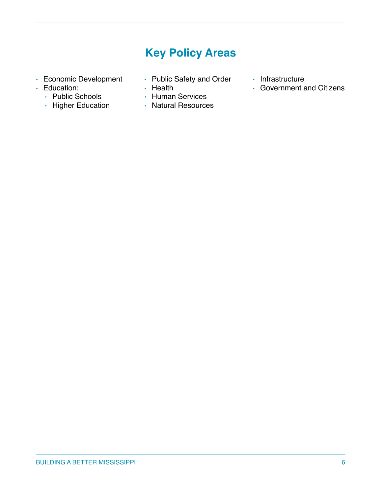# **Key Policy Areas**

- Economic Development
- Education:
	- Public Schools
	- Higher Education
- Public Safety and Order
- Health
- Human Services
- Natural Resources
- Infrastructure
- Government and Citizens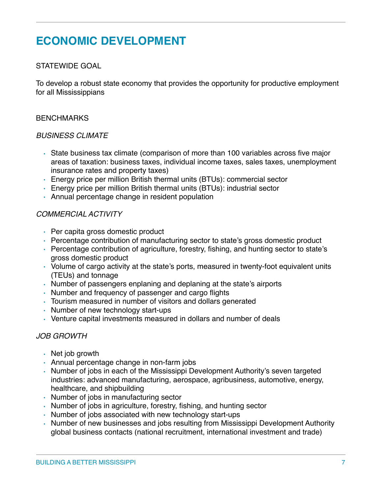# **ECONOMIC DEVELOPMENT**

### STATEWIDE GOAL

To develop a robust state economy that provides the opportunity for productive employment for all Mississippians

#### **BENCHMARKS**

#### *BUSINESS CLIMATE*

- State business tax climate (comparison of more than 100 variables across five major areas of taxation: business taxes, individual income taxes, sales taxes, unemployment insurance rates and property taxes)
- Energy price per million British thermal units (BTUs): commercial sector
- Energy price per million British thermal units (BTUs): industrial sector
- Annual percentage change in resident population

### *COMMERCIAL ACTIVITY*

- Per capita gross domestic product
- Percentage contribution of manufacturing sector to state's gross domestic product
- Percentage contribution of agriculture, forestry, fishing, and hunting sector to state's gross domestic product
- Volume of cargo activity at the state's ports, measured in twenty-foot equivalent units (TEUs) and tonnage
- Number of passengers enplaning and deplaning at the state's airports
- Number and frequency of passenger and cargo flights
- Tourism measured in number of visitors and dollars generated
- Number of new technology start-ups
- Venture capital investments measured in dollars and number of deals

# *JOB GROWTH*

- Net job growth
- Annual percentage change in non-farm jobs
- Number of jobs in each of the Mississippi Development Authority's seven targeted industries: advanced manufacturing, aerospace, agribusiness, automotive, energy, healthcare, and shipbuilding
- Number of jobs in manufacturing sector
- Number of jobs in agriculture, forestry, fishing, and hunting sector
- Number of jobs associated with new technology start-ups
- Number of new businesses and jobs resulting from Mississippi Development Authority global business contacts (national recruitment, international investment and trade)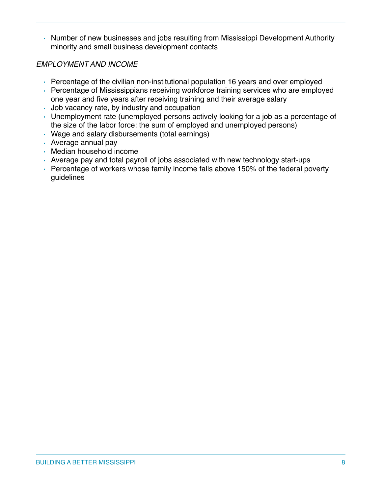• Number of new businesses and jobs resulting from Mississippi Development Authority minority and small business development contacts

# *EMPLOYMENT AND INCOME*

- Percentage of the civilian non-institutional population 16 years and over employed
- Percentage of Mississippians receiving workforce training services who are employed one year and five years after receiving training and their average salary
- Job vacancy rate, by industry and occupation
- Unemployment rate (unemployed persons actively looking for a job as a percentage of the size of the labor force: the sum of employed and unemployed persons)
- Wage and salary disbursements (total earnings)
- Average annual pay
- Median household income
- Average pay and total payroll of jobs associated with new technology start-ups
- Percentage of workers whose family income falls above 150% of the federal poverty guidelines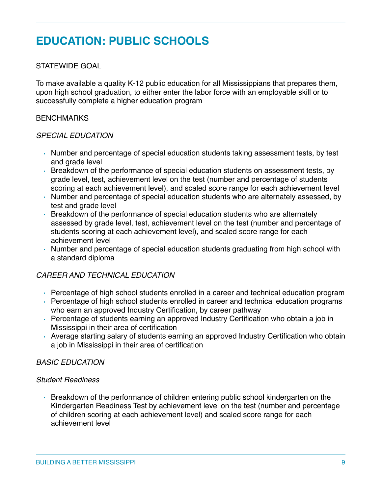# **EDUCATION: PUBLIC SCHOOLS**

### STATEWIDE GOAL

To make available a quality K-12 public education for all Mississippians that prepares them, upon high school graduation, to either enter the labor force with an employable skill or to successfully complete a higher education program

#### **BENCHMARKS**

#### *SPECIAL EDUCATION*

- Number and percentage of special education students taking assessment tests, by test and grade level
- Breakdown of the performance of special education students on assessment tests, by grade level, test, achievement level on the test (number and percentage of students scoring at each achievement level), and scaled score range for each achievement level
- Number and percentage of special education students who are alternately assessed, by test and grade level
- Breakdown of the performance of special education students who are alternately assessed by grade level, test, achievement level on the test (number and percentage of students scoring at each achievement level), and scaled score range for each achievement level
- Number and percentage of special education students graduating from high school with a standard diploma

#### *CAREER AND TECHNICAL EDUCATION*

- Percentage of high school students enrolled in a career and technical education program
- Percentage of high school students enrolled in career and technical education programs who earn an approved Industry Certification, by career pathway
- Percentage of students earning an approved Industry Certification who obtain a job in Mississippi in their area of certification
- Average starting salary of students earning an approved Industry Certification who obtain a job in Mississippi in their area of certification

#### *BASIC EDUCATION*

#### *Student Readiness*

• Breakdown of the performance of children entering public school kindergarten on the Kindergarten Readiness Test by achievement level on the test (number and percentage of children scoring at each achievement level) and scaled score range for each achievement level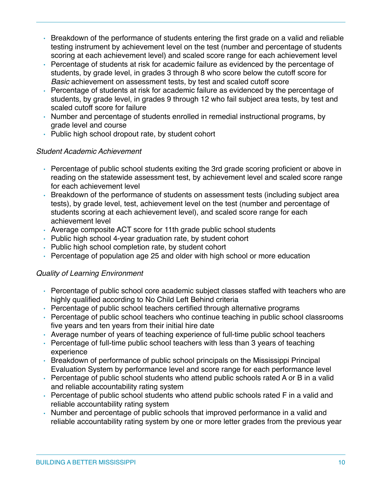- Breakdown of the performance of students entering the first grade on a valid and reliable testing instrument by achievement level on the test (number and percentage of students scoring at each achievement level) and scaled score range for each achievement level
- Percentage of students at risk for academic failure as evidenced by the percentage of students, by grade level, in grades 3 through 8 who score below the cutoff score for *Basic* achievement on assessment tests, by test and scaled cutoff score
- Percentage of students at risk for academic failure as evidenced by the percentage of students, by grade level, in grades 9 through 12 who fail subject area tests, by test and scaled cutoff score for failure
- Number and percentage of students enrolled in remedial instructional programs, by grade level and course
- Public high school dropout rate, by student cohort

### *Student Academic Achievement*

- Percentage of public school students exiting the 3rd grade scoring proficient or above in reading on the statewide assessment test, by achievement level and scaled score range for each achievement level
- Breakdown of the performance of students on assessment tests (including subject area tests), by grade level, test, achievement level on the test (number and percentage of students scoring at each achievement level), and scaled score range for each achievement level
- Average composite ACT score for 11th grade public school students
- Public high school 4-year graduation rate, by student cohort
- Public high school completion rate, by student cohort
- Percentage of population age 25 and older with high school or more education

# *Quality of Learning Environment*

- Percentage of public school core academic subject classes staffed with teachers who are highly qualified according to No Child Left Behind criteria
- Percentage of public school teachers certified through alternative programs
- Percentage of public school teachers who continue teaching in public school classrooms five years and ten years from their initial hire date
- Average number of years of teaching experience of full-time public school teachers
- Percentage of full-time public school teachers with less than 3 years of teaching experience
- Breakdown of performance of public school principals on the Mississippi Principal Evaluation System by performance level and score range for each performance level
- Percentage of public school students who attend public schools rated A or B in a valid and reliable accountability rating system
- Percentage of public school students who attend public schools rated F in a valid and reliable accountability rating system
- Number and percentage of public schools that improved performance in a valid and reliable accountability rating system by one or more letter grades from the previous year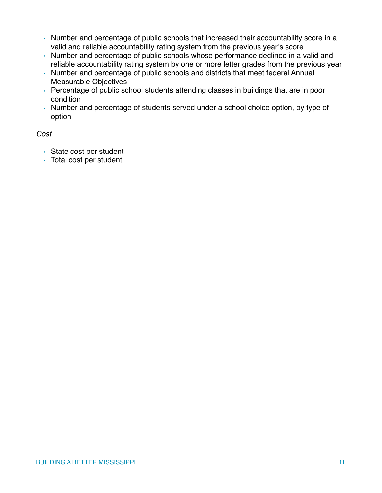- Number and percentage of public schools that increased their accountability score in a valid and reliable accountability rating system from the previous year's score
- Number and percentage of public schools whose performance declined in a valid and reliable accountability rating system by one or more letter grades from the previous year
- Number and percentage of public schools and districts that meet federal Annual Measurable Objectives
- Percentage of public school students attending classes in buildings that are in poor condition
- Number and percentage of students served under a school choice option, by type of option

*Cost*

- State cost per student
- Total cost per student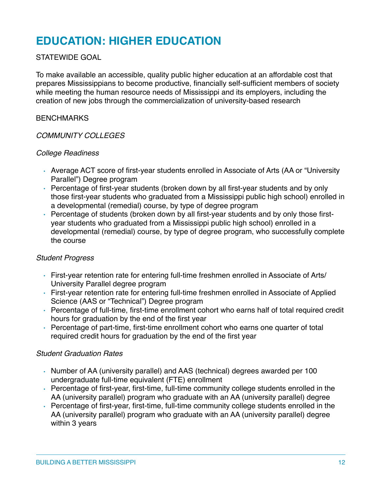# **EDUCATION: HIGHER EDUCATION**

# STATEWIDE GOAL

To make available an accessible, quality public higher education at an affordable cost that prepares Mississippians to become productive, financially self-sufficient members of society while meeting the human resource needs of Mississippi and its employers, including the creation of new jobs through the commercialization of university-based research

#### **BENCHMARKS**

#### *COMMUNITY COLLEGES*

#### *College Readiness*

- Average ACT score of first-year students enrolled in Associate of Arts (AA or "University Parallel") Degree program
- Percentage of first-year students (broken down by all first-year students and by only those first-year students who graduated from a Mississippi public high school) enrolled in a developmental (remedial) course, by type of degree program
- Percentage of students (broken down by all first-year students and by only those firstyear students who graduated from a Mississippi public high school) enrolled in a developmental (remedial) course, by type of degree program, who successfully complete the course

#### *Student Progress*

- First-year retention rate for entering full-time freshmen enrolled in Associate of Arts/ University Parallel degree program
- First-year retention rate for entering full-time freshmen enrolled in Associate of Applied Science (AAS or "Technical") Degree program
- Percentage of full-time, first-time enrollment cohort who earns half of total required credit hours for graduation by the end of the first year
- Percentage of part-time, first-time enrollment cohort who earns one quarter of total required credit hours for graduation by the end of the first year

#### *Student Graduation Rates*

- Number of AA (university parallel) and AAS (technical) degrees awarded per 100 undergraduate full-time equivalent (FTE) enrollment
- Percentage of first-year, first-time, full-time community college students enrolled in the AA (university parallel) program who graduate with an AA (university parallel) degree
- Percentage of first-year, first-time, full-time community college students enrolled in the AA (university parallel) program who graduate with an AA (university parallel) degree within 3 years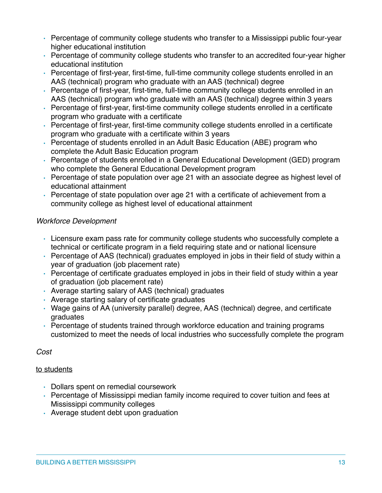- Percentage of community college students who transfer to a Mississippi public four-year higher educational institution
- Percentage of community college students who transfer to an accredited four-year higher educational institution
- Percentage of first-year, first-time, full-time community college students enrolled in an AAS (technical) program who graduate with an AAS (technical) degree
- Percentage of first-year, first-time, full-time community college students enrolled in an AAS (technical) program who graduate with an AAS (technical) degree within 3 years
- Percentage of first-year, first-time community college students enrolled in a certificate program who graduate with a certificate
- Percentage of first-year, first-time community college students enrolled in a certificate program who graduate with a certificate within 3 years
- Percentage of students enrolled in an Adult Basic Education (ABE) program who complete the Adult Basic Education program
- Percentage of students enrolled in a General Educational Development (GED) program who complete the General Educational Development program
- Percentage of state population over age 21 with an associate degree as highest level of educational attainment
- Percentage of state population over age 21 with a certificate of achievement from a community college as highest level of educational attainment

# *Workforce Development*

- Licensure exam pass rate for community college students who successfully complete a technical or certificate program in a field requiring state and or national licensure
- Percentage of AAS (technical) graduates employed in jobs in their field of study within a year of graduation (job placement rate)
- Percentage of certificate graduates employed in jobs in their field of study within a year of graduation (job placement rate)
- Average starting salary of AAS (technical) graduates
- Average starting salary of certificate graduates
- Wage gains of AA (university parallel) degree, AAS (technical) degree, and certificate graduates
- Percentage of students trained through workforce education and training programs customized to meet the needs of local industries who successfully complete the program

# *Cost*

# to students

- Dollars spent on remedial coursework
- Percentage of Mississippi median family income required to cover tuition and fees at Mississippi community colleges
- Average student debt upon graduation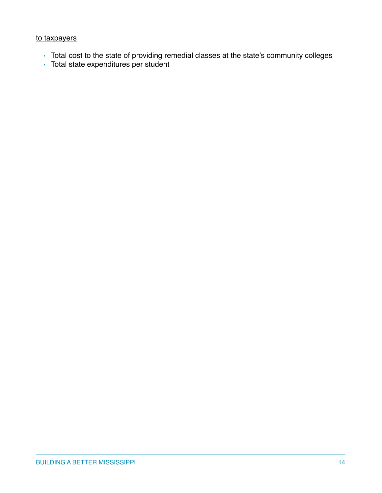# to taxpayers

- Total cost to the state of providing remedial classes at the state's community colleges
- Total state expenditures per student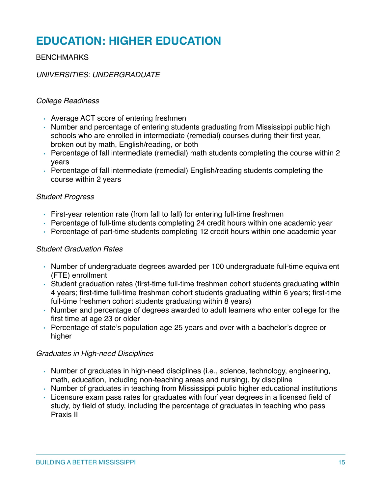# **EDUCATION: HIGHER EDUCATION**

# **BENCHMARKS**

# *UNIVERSITIES: UNDERGRADUATE*

#### *College Readiness*

- Average ACT score of entering freshmen
- Number and percentage of entering students graduating from Mississippi public high schools who are enrolled in intermediate (remedial) courses during their first year, broken out by math, English/reading, or both
- Percentage of fall intermediate (remedial) math students completing the course within 2 years
- Percentage of fall intermediate (remedial) English/reading students completing the course within 2 years

#### *Student Progress*

- First-year retention rate (from fall to fall) for entering full-time freshmen
- Percentage of full-time students completing 24 credit hours within one academic year
- Percentage of part-time students completing 12 credit hours within one academic year

#### *Student Graduation Rates*

- Number of undergraduate degrees awarded per 100 undergraduate full-time equivalent (FTE) enrollment
- Student graduation rates (first-time full-time freshmen cohort students graduating within 4 years; first-time full-time freshmen cohort students graduating within 6 years; first-time full-time freshmen cohort students graduating within 8 years)
- Number and percentage of degrees awarded to adult learners who enter college for the first time at age 23 or older
- Percentage of state's population age 25 years and over with a bachelor's degree or higher

#### *Graduates in High-need Disciplines*

- Number of graduates in high-need disciplines (i.e., science, technology, engineering, math, education, including non-teaching areas and nursing), by discipline
- Number of graduates in teaching from Mississippi public higher educational institutions
- Licensure exam pass rates for graduates with four`year degrees in a licensed field of study, by field of study, including the percentage of graduates in teaching who pass Praxis II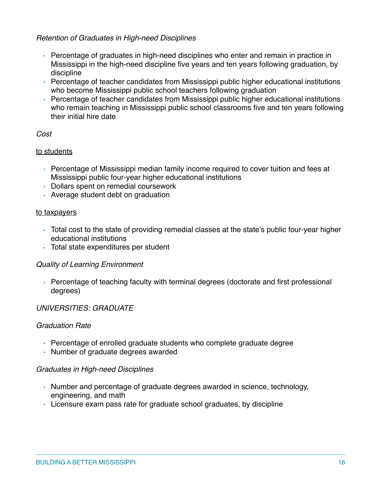## *Retention of Graduates in High-need Disciplines*

- Percentage of graduates in high-need disciplines who enter and remain in practice in Mississippi in the high-need discipline five years and ten years following graduation, by discipline
- Percentage of teacher candidates from Mississippi public higher educational institutions who become Mississippi public school teachers following graduation
- Percentage of teacher candidates from Mississippi public higher educational institutions who remain teaching in Mississippi public school classrooms five and ten years following their initial hire date

### *Cost*

#### to students

- Percentage of Mississippi median family income required to cover tuition and fees at Mississippi public four-year higher educational institutions
- Dollars spent on remedial coursework
- Average student debt on graduation

#### to taxpayers

- Total cost to the state of providing remedial classes at the state's public four-year higher educational institutions
- Total state expenditures per student

#### *Quality of Learning Environment*

• Percentage of teaching faculty with terminal degrees (doctorate and first professional degrees)

# *UNIVERSITIES: GRADUATE*

#### *Graduation Rate*

- Percentage of enrolled graduate students who complete graduate degree
- Number of graduate degrees awarded

#### *Graduates in High-need Disciplines*

- Number and percentage of graduate degrees awarded in science, technology, engineering, and math
- Licensure exam pass rate for graduate school graduates, by discipline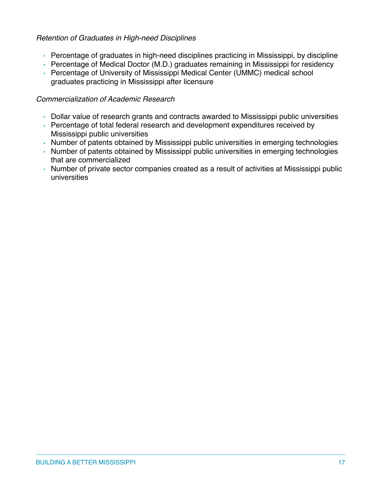# *Retention of Graduates in High-need Disciplines*

- Percentage of graduates in high-need disciplines practicing in Mississippi, by discipline
- Percentage of Medical Doctor (M.D.) graduates remaining in Mississippi for residency
- Percentage of University of Mississippi Medical Center (UMMC) medical school graduates practicing in Mississippi after licensure

#### *Commercialization of Academic Research*

- Dollar value of research grants and contracts awarded to Mississippi public universities
- Percentage of total federal research and development expenditures received by Mississippi public universities
- Number of patents obtained by Mississippi public universities in emerging technologies
- Number of patents obtained by Mississippi public universities in emerging technologies that are commercialized
- Number of private sector companies created as a result of activities at Mississippi public universities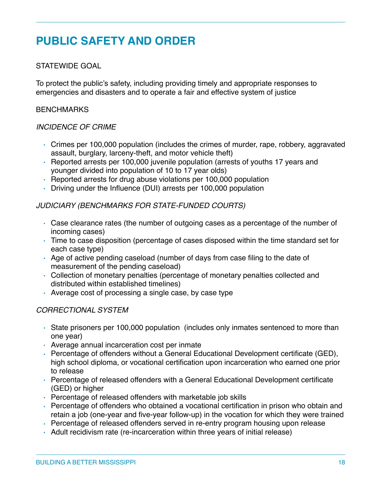# **PUBLIC SAFETY AND ORDER**

# STATEWIDE GOAL

To protect the public's safety, including providing timely and appropriate responses to emergencies and disasters and to operate a fair and effective system of justice

#### **BENCHMARKS**

#### *INCIDENCE OF CRIME*

- Crimes per 100,000 population (includes the crimes of murder, rape, robbery, aggravated assault, burglary, larceny-theft, and motor vehicle theft)
- Reported arrests per 100,000 juvenile population (arrests of youths 17 years and younger divided into population of 10 to 17 year olds)
- Reported arrests for drug abuse violations per 100,000 population
- Driving under the Influence (DUI) arrests per 100,000 population

*JUDICIARY (BENCHMARKS FOR STATE-FUNDED COURTS)*

- Case clearance rates (the number of outgoing cases as a percentage of the number of incoming cases)
- Time to case disposition (percentage of cases disposed within the time standard set for each case type)
- Age of active pending caseload (number of days from case filing to the date of measurement of the pending caseload)
- Collection of monetary penalties (percentage of monetary penalties collected and distributed within established timelines)
- Average cost of processing a single case, by case type

#### *CORRECTIONAL SYSTEM*

- State prisoners per 100,000 population (includes only inmates sentenced to more than one year)
- Average annual incarceration cost per inmate
- Percentage of offenders without a General Educational Development certificate (GED), high school diploma, or vocational certification upon incarceration who earned one prior to release
- Percentage of released offenders with a General Educational Development certificate (GED) or higher
- Percentage of released offenders with marketable job skills
- Percentage of offenders who obtained a vocational certification in prison who obtain and retain a job (one-year and five-year follow-up) in the vocation for which they were trained
- Percentage of released offenders served in re-entry program housing upon release
- Adult recidivism rate (re-incarceration within three years of initial release)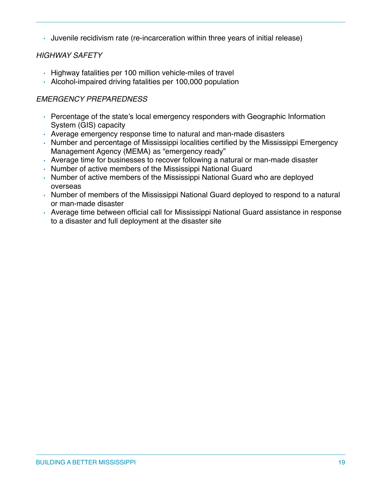• Juvenile recidivism rate (re-incarceration within three years of initial release)

# *HIGHWAY SAFETY*

- Highway fatalities per 100 million vehicle-miles of travel
- Alcohol-impaired driving fatalities per 100,000 population

# *EMERGENCY PREPAREDNESS*

- Percentage of the state's local emergency responders with Geographic Information System (GIS) capacity
- Average emergency response time to natural and man-made disasters
- Number and percentage of Mississippi localities certified by the Mississippi Emergency Management Agency (MEMA) as "emergency ready"
- Average time for businesses to recover following a natural or man-made disaster
- Number of active members of the Mississippi National Guard
- Number of active members of the Mississippi National Guard who are deployed overseas
- Number of members of the Mississippi National Guard deployed to respond to a natural or man-made disaster
- Average time between official call for Mississippi National Guard assistance in response to a disaster and full deployment at the disaster site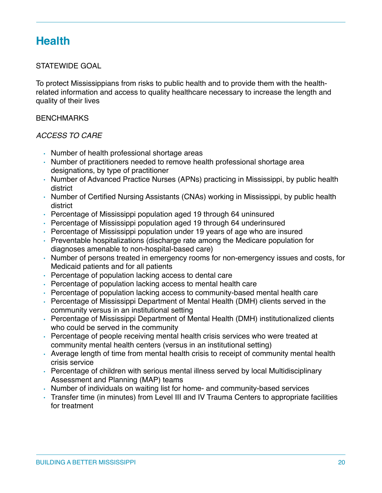# **Health**

### STATEWIDE GOAL

To protect Mississippians from risks to public health and to provide them with the healthrelated information and access to quality healthcare necessary to increase the length and quality of their lives

#### **BENCHMARKS**

#### *ACCESS TO CARE*

- Number of health professional shortage areas
- Number of practitioners needed to remove health professional shortage area designations, by type of practitioner
- Number of Advanced Practice Nurses (APNs) practicing in Mississippi, by public health district
- Number of Certified Nursing Assistants (CNAs) working in Mississippi, by public health district
- Percentage of Mississippi population aged 19 through 64 uninsured
- Percentage of Mississippi population aged 19 through 64 underinsured
- Percentage of Mississippi population under 19 years of age who are insured
- Preventable hospitalizations (discharge rate among the Medicare population for diagnoses amenable to non-hospital-based care)
- Number of persons treated in emergency rooms for non-emergency issues and costs, for Medicaid patients and for all patients
- Percentage of population lacking access to dental care
- Percentage of population lacking access to mental health care
- Percentage of population lacking access to community-based mental health care
- Percentage of Mississippi Department of Mental Health (DMH) clients served in the community versus in an institutional setting
- Percentage of Mississippi Department of Mental Health (DMH) institutionalized clients who could be served in the community
- Percentage of people receiving mental health crisis services who were treated at community mental health centers (versus in an institutional setting)
- Average length of time from mental health crisis to receipt of community mental health crisis service
- Percentage of children with serious mental illness served by local Multidisciplinary Assessment and Planning (MAP) teams
- Number of individuals on waiting list for home- and community-based services
- Transfer time (in minutes) from Level III and IV Trauma Centers to appropriate facilities for treatment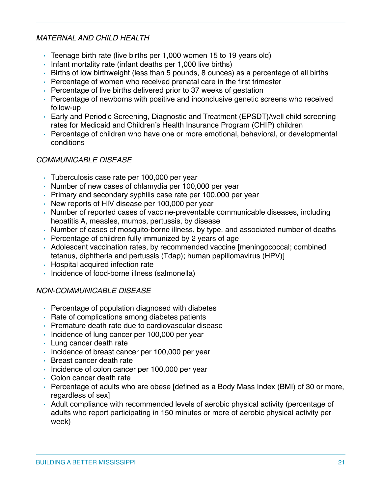# *MATERNAL AND CHILD HEALTH*

- Teenage birth rate (live births per 1,000 women 15 to 19 years old)
- Infant mortality rate (infant deaths per 1,000 live births)
- Births of low birthweight (less than 5 pounds, 8 ounces) as a percentage of all births
- Percentage of women who received prenatal care in the first trimester
- Percentage of live births delivered prior to 37 weeks of gestation
- Percentage of newborns with positive and inconclusive genetic screens who received follow-up
- Early and Periodic Screening, Diagnostic and Treatment (EPSDT)/well child screening rates for Medicaid and Children's Health Insurance Program (CHIP) children
- Percentage of children who have one or more emotional, behavioral, or developmental conditions

### *COMMUNICABLE DISEASE*

- Tuberculosis case rate per 100,000 per year
- Number of new cases of chlamydia per 100,000 per year
- Primary and secondary syphilis case rate per 100,000 per year
- New reports of HIV disease per 100,000 per year
- Number of reported cases of vaccine-preventable communicable diseases, including hepatitis A, measles, mumps, pertussis, by disease
- Number of cases of mosquito-borne illness, by type, and associated number of deaths
- Percentage of children fully immunized by 2 years of age
- Adolescent vaccination rates, by recommended vaccine [meningococcal; combined tetanus, diphtheria and pertussis (Tdap); human papillomavirus (HPV)]
- Hospital acquired infection rate
- Incidence of food-borne illness (salmonella)

# *NON-COMMUNICABLE DISEASE*

- Percentage of population diagnosed with diabetes
- Rate of complications among diabetes patients
- Premature death rate due to cardiovascular disease
- Incidence of lung cancer per 100,000 per year
- Lung cancer death rate
- Incidence of breast cancer per 100,000 per year
- Breast cancer death rate
- Incidence of colon cancer per 100,000 per year
- Colon cancer death rate
- Percentage of adults who are obese [defined as a Body Mass Index (BMI) of 30 or more, regardless of sex]
- Adult compliance with recommended levels of aerobic physical activity (percentage of adults who report participating in 150 minutes or more of aerobic physical activity per week)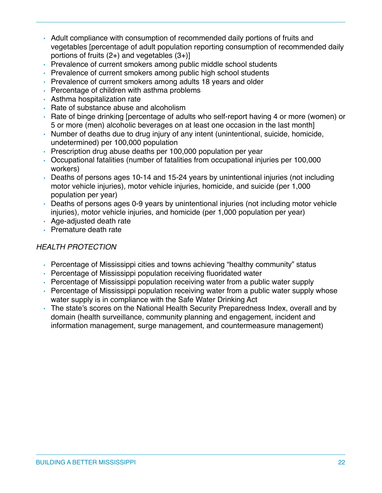- Adult compliance with consumption of recommended daily portions of fruits and vegetables [percentage of adult population reporting consumption of recommended daily portions of fruits  $(2+)$  and vegetables  $(3+)$ ]
- Prevalence of current smokers among public middle school students
- Prevalence of current smokers among public high school students
- Prevalence of current smokers among adults 18 years and older
- Percentage of children with asthma problems
- Asthma hospitalization rate
- Rate of substance abuse and alcoholism
- Rate of binge drinking [percentage of adults who self-report having 4 or more (women) or 5 or more (men) alcoholic beverages on at least one occasion in the last month]
- Number of deaths due to drug injury of any intent (unintentional, suicide, homicide, undetermined) per 100,000 population
- Prescription drug abuse deaths per 100,000 population per year
- Occupational fatalities (number of fatalities from occupational injuries per 100,000 workers)
- Deaths of persons ages 10-14 and 15-24 years by unintentional injuries (not including motor vehicle injuries), motor vehicle injuries, homicide, and suicide (per 1,000 population per year)
- Deaths of persons ages 0-9 years by unintentional injuries (not including motor vehicle injuries), motor vehicle injuries, and homicide (per 1,000 population per year)
- Age-adjusted death rate
- Premature death rate

# *HEALTH PROTECTION*

- Percentage of Mississippi cities and towns achieving "healthy community" status
- Percentage of Mississippi population receiving fluoridated water
- Percentage of Mississippi population receiving water from a public water supply
- Percentage of Mississippi population receiving water from a public water supply whose water supply is in compliance with the Safe Water Drinking Act
- The state's scores on the National Health Security Preparedness Index, overall and by domain (health surveillance, community planning and engagement, incident and information management, surge management, and countermeasure management)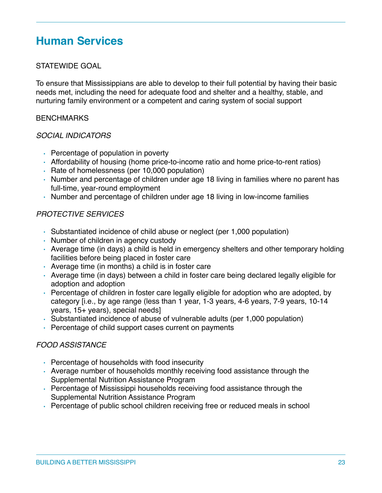# **Human Services**

#### STATEWIDE GOAL

To ensure that Mississippians are able to develop to their full potential by having their basic needs met, including the need for adequate food and shelter and a healthy, stable, and nurturing family environment or a competent and caring system of social support

#### **BENCHMARKS**

#### *SOCIAL INDICATORS*

- Percentage of population in poverty
- Affordability of housing (home price-to-income ratio and home price-to-rent ratios)
- Rate of homelessness (per 10,000 population)
- Number and percentage of children under age 18 living in families where no parent has full-time, year-round employment
- Number and percentage of children under age 18 living in low-income families

### *PROTECTIVE SERVICES*

- Substantiated incidence of child abuse or neglect (per 1,000 population)
- Number of children in agency custody
- Average time (in days) a child is held in emergency shelters and other temporary holding facilities before being placed in foster care
- Average time (in months) a child is in foster care
- Average time (in days) between a child in foster care being declared legally eligible for adoption and adoption
- Percentage of children in foster care legally eligible for adoption who are adopted, by category [i.e., by age range (less than 1 year, 1-3 years, 4-6 years, 7-9 years, 10-14 years, 15+ years), special needs]
- Substantiated incidence of abuse of vulnerable adults (per 1,000 population)
- Percentage of child support cases current on payments

#### *FOOD ASSISTANCE*

- Percentage of households with food insecurity
- Average number of households monthly receiving food assistance through the Supplemental Nutrition Assistance Program
- Percentage of Mississippi households receiving food assistance through the Supplemental Nutrition Assistance Program
- Percentage of public school children receiving free or reduced meals in school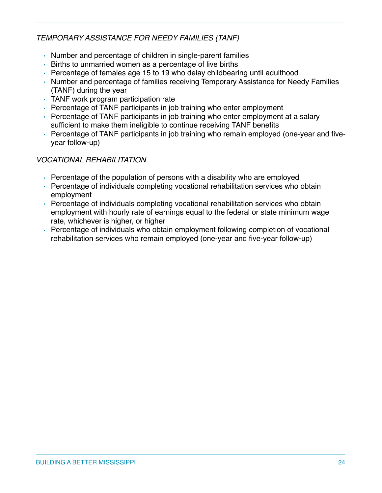# *TEMPORARY ASSISTANCE FOR NEEDY FAMILIES (TANF)*

- Number and percentage of children in single-parent families
- Births to unmarried women as a percentage of live births
- Percentage of females age 15 to 19 who delay childbearing until adulthood
- Number and percentage of families receiving Temporary Assistance for Needy Families (TANF) during the year
- TANF work program participation rate
- Percentage of TANF participants in job training who enter employment
- Percentage of TANF participants in job training who enter employment at a salary sufficient to make them ineligible to continue receiving TANF benefits
- Percentage of TANF participants in job training who remain employed (one-year and fiveyear follow-up)

# *VOCATIONAL REHABILITATION*

- Percentage of the population of persons with a disability who are employed
- Percentage of individuals completing vocational rehabilitation services who obtain employment
- Percentage of individuals completing vocational rehabilitation services who obtain employment with hourly rate of earnings equal to the federal or state minimum wage rate, whichever is higher, or higher
- Percentage of individuals who obtain employment following completion of vocational rehabilitation services who remain employed (one-year and five-year follow-up)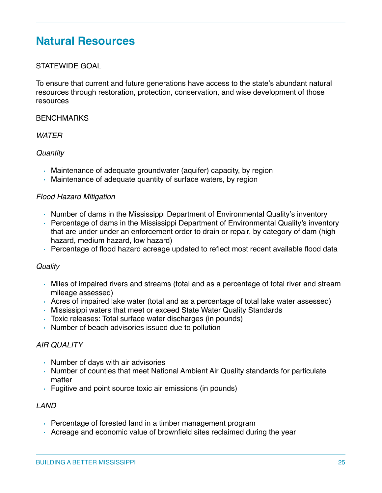# **Natural Resources**

### STATEWIDE GOAL

To ensure that current and future generations have access to the state's abundant natural resources through restoration, protection, conservation, and wise development of those resources

#### **BENCHMARKS**

#### *WATER*

#### *Quantity*

- Maintenance of adequate groundwater (aquifer) capacity, by region
- Maintenance of adequate quantity of surface waters, by region

#### *Flood Hazard Mitigation*

- Number of dams in the Mississippi Department of Environmental Quality's inventory
- Percentage of dams in the Mississippi Department of Environmental Quality's inventory that are under under an enforcement order to drain or repair, by category of dam (high hazard, medium hazard, low hazard)
- Percentage of flood hazard acreage updated to reflect most recent available flood data

#### *Quality*

- Miles of impaired rivers and streams (total and as a percentage of total river and stream mileage assessed)
- Acres of impaired lake water (total and as a percentage of total lake water assessed)
- Mississippi waters that meet or exceed State Water Quality Standards
- Toxic releases: Total surface water discharges (in pounds)
- Number of beach advisories issued due to pollution

#### *AIR QUALITY*

- Number of days with air advisories
- Number of counties that meet National Ambient Air Quality standards for particulate matter
- Fugitive and point source toxic air emissions (in pounds)

#### *LAND*

- Percentage of forested land in a timber management program
- Acreage and economic value of brownfield sites reclaimed during the year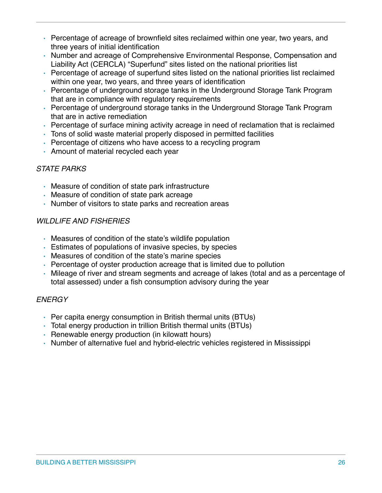- Percentage of acreage of brownfield sites reclaimed within one year, two years, and three years of initial identification
- Number and acreage of Comprehensive Environmental Response, Compensation and Liability Act (CERCLA) "Superfund" sites listed on the national priorities list
- Percentage of acreage of superfund sites listed on the national priorities list reclaimed within one year, two years, and three years of identification
- Percentage of underground storage tanks in the Underground Storage Tank Program that are in compliance with regulatory requirements
- Percentage of underground storage tanks in the Underground Storage Tank Program that are in active remediation
- Percentage of surface mining activity acreage in need of reclamation that is reclaimed
- Tons of solid waste material properly disposed in permitted facilities
- Percentage of citizens who have access to a recycling program
- Amount of material recycled each year

### *STATE PARKS*

- Measure of condition of state park infrastructure
- Measure of condition of state park acreage
- Number of visitors to state parks and recreation areas

# *WILDLIFE AND FISHERIES*

- Measures of condition of the state's wildlife population
- Estimates of populations of invasive species, by species
- Measures of condition of the state's marine species
- Percentage of oyster production acreage that is limited due to pollution
- Mileage of river and stream segments and acreage of lakes (total and as a percentage of total assessed) under a fish consumption advisory during the year

# *ENERGY*

- Per capita energy consumption in British thermal units (BTUs)
- Total energy production in trillion British thermal units (BTUs)
- Renewable energy production (in kilowatt hours)
- Number of alternative fuel and hybrid-electric vehicles registered in Mississippi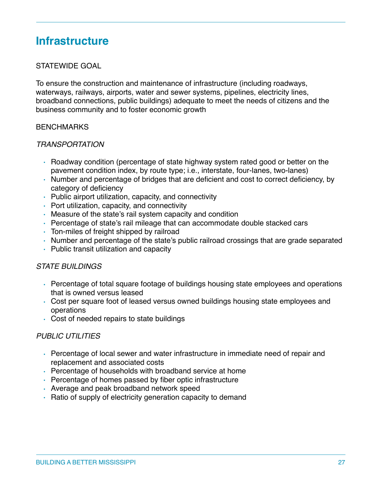# **Infrastructure**

### STATEWIDE GOAL

To ensure the construction and maintenance of infrastructure (including roadways, waterways, railways, airports, water and sewer systems, pipelines, electricity lines, broadband connections, public buildings) adequate to meet the needs of citizens and the business community and to foster economic growth

#### BENCHMARKS

#### *TRANSPORTATION*

- Roadway condition (percentage of state highway system rated good or better on the pavement condition index, by route type; i.e., interstate, four-lanes, two-lanes)
- Number and percentage of bridges that are deficient and cost to correct deficiency, by category of deficiency
- Public airport utilization, capacity, and connectivity
- Port utilization, capacity, and connectivity
- Measure of the state's rail system capacity and condition
- Percentage of state's rail mileage that can accommodate double stacked cars
- Ton-miles of freight shipped by railroad
- Number and percentage of the state's public railroad crossings that are grade separated
- Public transit utilization and capacity

#### *STATE BUILDINGS*

- Percentage of total square footage of buildings housing state employees and operations that is owned versus leased
- Cost per square foot of leased versus owned buildings housing state employees and operations
- Cost of needed repairs to state buildings

#### *PUBLIC UTILITIES*

- Percentage of local sewer and water infrastructure in immediate need of repair and replacement and associated costs
- Percentage of households with broadband service at home
- Percentage of homes passed by fiber optic infrastructure
- Average and peak broadband network speed
- Ratio of supply of electricity generation capacity to demand